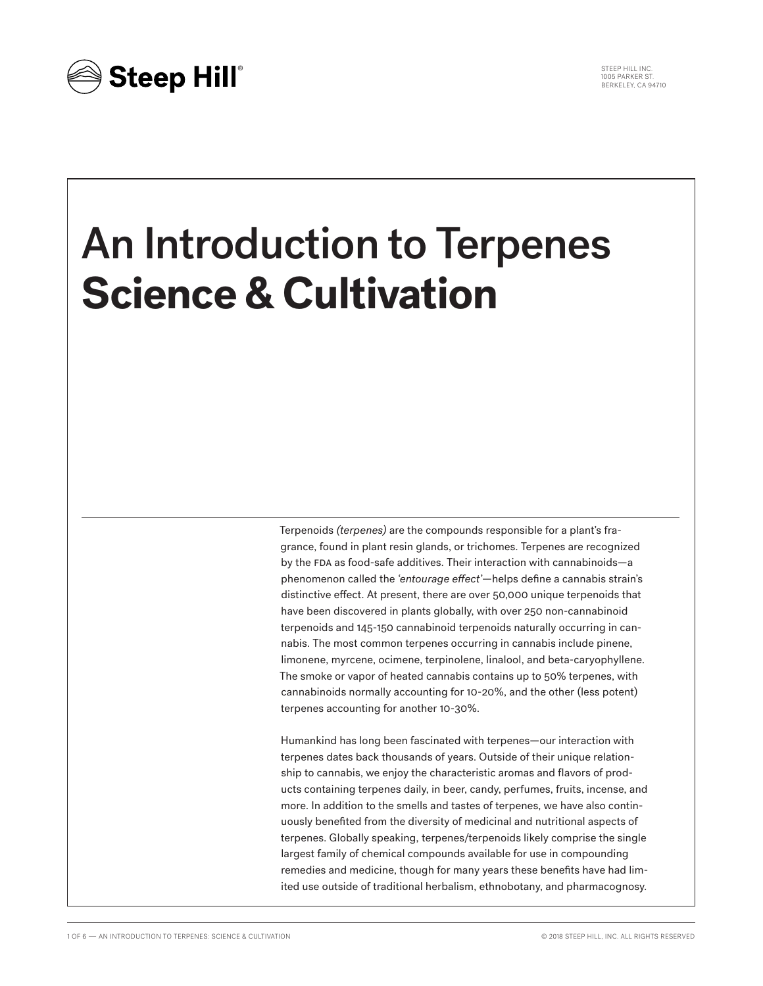STEEP HILL INC. 1005 PARKER ST. BERKELEY, CA 94710



# An Introduction to Terpenes **Science & Cultivation**

Terpenoids *(terpenes)* are the compounds responsible for a plant's fragrance, found in plant resin glands, or trichomes. Terpenes are recognized by the FDA as food-safe additives. Their interaction with cannabinoids-a phenomenon called the *'entourage effect'*—helps define a cannabis strain's distinctive effect. At present, there are over 50,000 unique terpenoids that have been discovered in plants globally, with over 250 non-cannabinoid terpenoids and 145-150 cannabinoid terpenoids naturally occurring in cannabis. The most common terpenes occurring in cannabis include pinene, limonene, myrcene, ocimene, terpinolene, linalool, and beta-caryophyllene. The smoke or vapor of heated cannabis contains up to 50% terpenes, with cannabinoids normally accounting for 10-20%, and the other (less potent) terpenes accounting for another 10-30%.

Humankind has long been fascinated with terpenes—our interaction with terpenes dates back thousands of years. Outside of their unique relationship to cannabis, we enjoy the characteristic aromas and flavors of products containing terpenes daily, in beer, candy, perfumes, fruits, incense, and more. In addition to the smells and tastes of terpenes, we have also continuously benefited from the diversity of medicinal and nutritional aspects of terpenes. Globally speaking, terpenes/terpenoids likely comprise the single largest family of chemical compounds available for use in compounding remedies and medicine, though for many years these benefits have had limited use outside of traditional herbalism, ethnobotany, and pharmacognosy.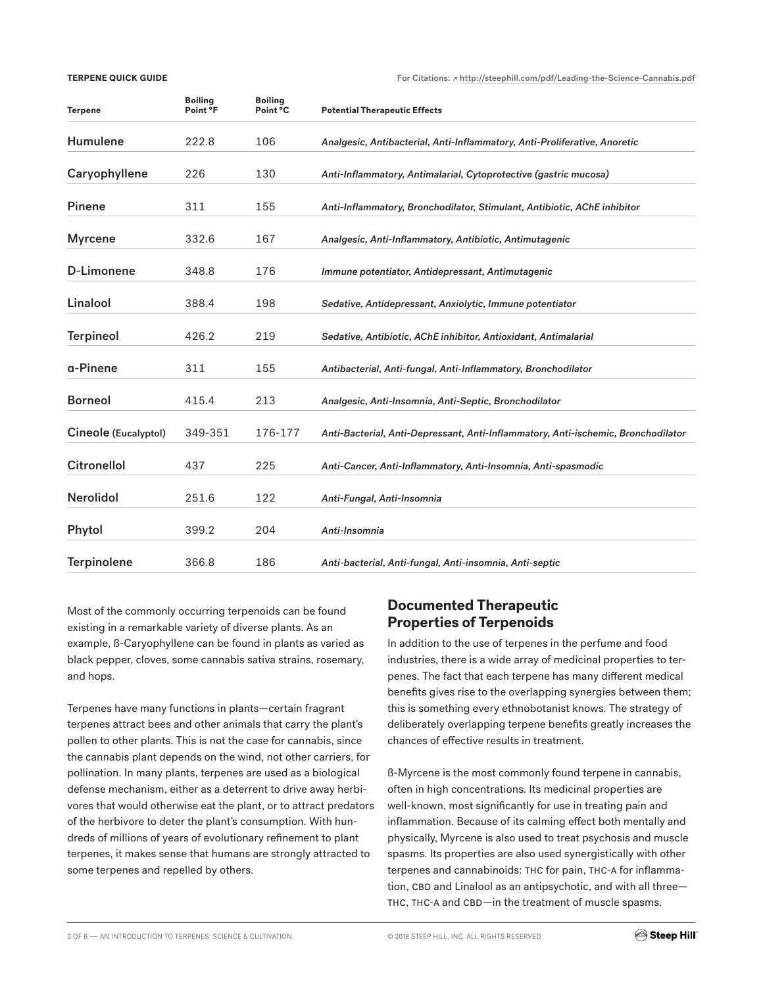#### **TERPENE QUICK GUIDE**

For Citations: ↗ http://steephill.com/pdf/Leading-the-Science-Cannabis.pdf

| <b>Terpene</b>       | <b>Boiling</b><br>Point °F | <b>Boiling</b><br>Point °C | <b>Potential Therapeutic Effects</b>                                              |
|----------------------|----------------------------|----------------------------|-----------------------------------------------------------------------------------|
| <b>Humulene</b>      | 222.8                      | 106                        | Analgesic, Antibacterial, Anti-Inflammatory, Anti-Proliferative, Anoretic         |
| Caryophyllene        | 226                        | 130                        | Anti-Inflammatory, Antimalarial, Cytoprotective (gastric mucosa)                  |
| <b>Pinene</b>        | 311                        | 155                        | Anti-Inflammatory, Bronchodilator, Stimulant, Antibiotic, AChE inhibitor          |
| <b>Myrcene</b>       | 332.6                      | 167                        | Analgesic, Anti-Inflammatory, Antibiotic, Antimutagenic                           |
| D-Limonene           | 348.8                      | 176                        | Immune potentiator, Antidepressant, Antimutagenic                                 |
| Linalool             | 388.4                      | 198                        | Sedative, Antidepressant, Anxiolytic, Immune potentiator                          |
| <b>Terpineol</b>     | 426.2                      | 219                        | Sedative, Antibiotic, AChE inhibitor, Antioxidant, Antimalarial                   |
| a-Pinene             | 311                        | 155                        | Antibacterial, Anti-fungal, Anti-Inflammatory, Bronchodilator                     |
| <b>Borneol</b>       | 415.4                      | 213                        | Analgesic, Anti-Insomnia, Anti-Septic, Bronchodilator                             |
| Cineole (Eucalyptol) | 349-351                    | 176-177                    | Anti-Bacterial, Anti-Depressant, Anti-Inflammatory, Anti-ischemic, Bronchodilator |
| <b>Citronellol</b>   | 437                        | 225                        | Anti-Cancer, Anti-Inflammatory, Anti-Insomnia, Anti-spasmodic                     |
| <b>Nerolidol</b>     | 251.6                      | 122                        | Anti-Fungal, Anti-Insomnia                                                        |
| Phytol               | 399.2                      | 204                        | Anti-Insomnia                                                                     |
| <b>Terpinolene</b>   | 366.8                      | 186                        | Anti-bacterial, Anti-fungal, Anti-insomnia, Anti-septic                           |

Most of the commonly occurring terpenoids can be found existing in a remarkable variety of diverse plants. As an example, ß-Caryophyllene can be found in plants as varied as black pepper, cloves, some cannabis sativa strains, rosemary, and hops.

Terpenes have many functions in plants—certain fragrant terpenes attract bees and other animals that carry the plant's pollen to other plants. This is not the case for cannabis, since the cannabis plant depends on the wind, not other carriers, for pollination. In many plants, terpenes are used as a biological defense mechanism, either as a deterrent to drive away herbivores that would otherwise eat the plant, or to attract predators of the herbivore to deter the plant's consumption. With hundreds of millions of years of evolutionary refinement to plant terpenes, it makes sense that humans are strongly attracted to some terpenes and repelled by others.

## **Documented Therapeutic Properties of Terpenoids**

In addition to the use of terpenes in the perfume and food industries, there is a wide array of medicinal properties to terpenes. The fact that each terpene has many different medical benefits gives rise to the overlapping synergies between them; this is something every ethnobotanist knows. The strategy of deliberately overlapping terpene benefits greatly increases the chances of effective results in treatment.

ß-Myrcene is the most commonly found terpene in cannabis, often in high concentrations. Its medicinal properties are well-known, most significantly for use in treating pain and inflammation. Because of its calming effect both mentally and physically, Myrcene is also used to treat psychosis and muscle spasms. Its properties are also used synergistically with other terpenes and cannabinoids: thc for pain, thc-a for inflammation, CBD and Linalool as an antipsychotic, and with all three-THC, THC-A and CBD—in the treatment of muscle spasms.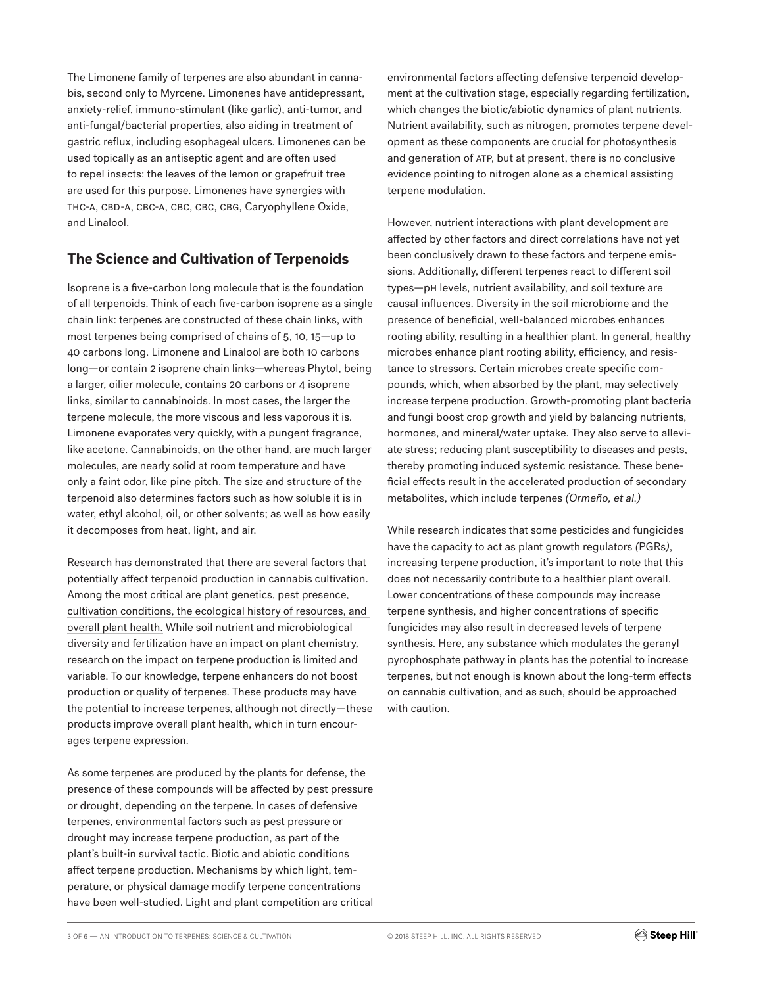The Limonene family of terpenes are also abundant in cannabis, second only to Myrcene. Limonenes have antidepressant, anxiety-relief, immuno-stimulant (like garlic), anti-tumor, and anti-fungal/bacterial properties, also aiding in treatment of gastric reflux, including esophageal ulcers. Limonenes can be used topically as an antiseptic agent and are often used to repel insects: the leaves of the lemon or grapefruit tree are used for this purpose. Limonenes have synergies with THC-A, CBD-A, CBC-A, CBC, CBC, CBG, Caryophyllene Oxide, and Linalool.

# **The Science and Cultivation of Terpenoids**

Isoprene is a five-carbon long molecule that is the foundation of all terpenoids. Think of each five-carbon isoprene as a single chain link: terpenes are constructed of these chain links, with most terpenes being comprised of chains of 5, 10, 15—up to 40 carbons long. Limonene and Linalool are both 10 carbons long—or contain 2 isoprene chain links—whereas Phytol, being a larger, oilier molecule, contains 20 carbons or 4 isoprene links, similar to cannabinoids. In most cases, the larger the terpene molecule, the more viscous and less vaporous it is. Limonene evaporates very quickly, with a pungent fragrance, like acetone. Cannabinoids, on the other hand, are much larger molecules, are nearly solid at room temperature and have only a faint odor, like pine pitch. The size and structure of the terpenoid also determines factors such as how soluble it is in water, ethyl alcohol, oil, or other solvents; as well as how easily it decomposes from heat, light, and air.

Research has demonstrated that there are several factors that potentially affect terpenoid production in cannabis cultivation. Among the most critical are plant genetics, pest presence, cultivation conditions, the ecological history of resources, and overall plant health. While soil nutrient and microbiological diversity and fertilization have an impact on plant chemistry, research on the impact on terpene production is limited and variable. To our knowledge, terpene enhancers do not boost production or quality of terpenes. These products may have the potential to increase terpenes, although not directly—these products improve overall plant health, which in turn encourages terpene expression.

As some terpenes are produced by the plants for defense, the presence of these compounds will be affected by pest pressure or drought, depending on the terpene. In cases of defensive terpenes, environmental factors such as pest pressure or drought may increase terpene production, as part of the plant's built-in survival tactic. Biotic and abiotic conditions affect terpene production. Mechanisms by which light, temperature, or physical damage modify terpene concentrations have been well-studied. Light and plant competition are critical environmental factors affecting defensive terpenoid development at the cultivation stage, especially regarding fertilization, which changes the biotic/abiotic dynamics of plant nutrients. Nutrient availability, such as nitrogen, promotes terpene development as these components are crucial for photosynthesis and generation of ATP, but at present, there is no conclusive evidence pointing to nitrogen alone as a chemical assisting terpene modulation.

However, nutrient interactions with plant development are affected by other factors and direct correlations have not yet been conclusively drawn to these factors and terpene emissions. Additionally, different terpenes react to different soil types—ph levels, nutrient availability, and soil texture are causal influences. Diversity in the soil microbiome and the presence of beneficial, well-balanced microbes enhances rooting ability, resulting in a healthier plant. In general, healthy microbes enhance plant rooting ability, efficiency, and resistance to stressors. Certain microbes create specific compounds, which, when absorbed by the plant, may selectively increase terpene production. Growth-promoting plant bacteria and fungi boost crop growth and yield by balancing nutrients, hormones, and mineral/water uptake. They also serve to alleviate stress; reducing plant susceptibility to diseases and pests, thereby promoting induced systemic resistance. These beneficial effects result in the accelerated production of secondary metabolites, which include terpenes *(Ormeño, et al.)*

While research indicates that some pesticides and fungicides have the capacity to act as plant growth regulators *(*PGRs*)*, increasing terpene production, it's important to note that this does not necessarily contribute to a healthier plant overall. Lower concentrations of these compounds may increase terpene synthesis, and higher concentrations of specific fungicides may also result in decreased levels of terpene synthesis. Here, any substance which modulates the geranyl pyrophosphate pathway in plants has the potential to increase terpenes, but not enough is known about the long-term effects on cannabis cultivation, and as such, should be approached with caution.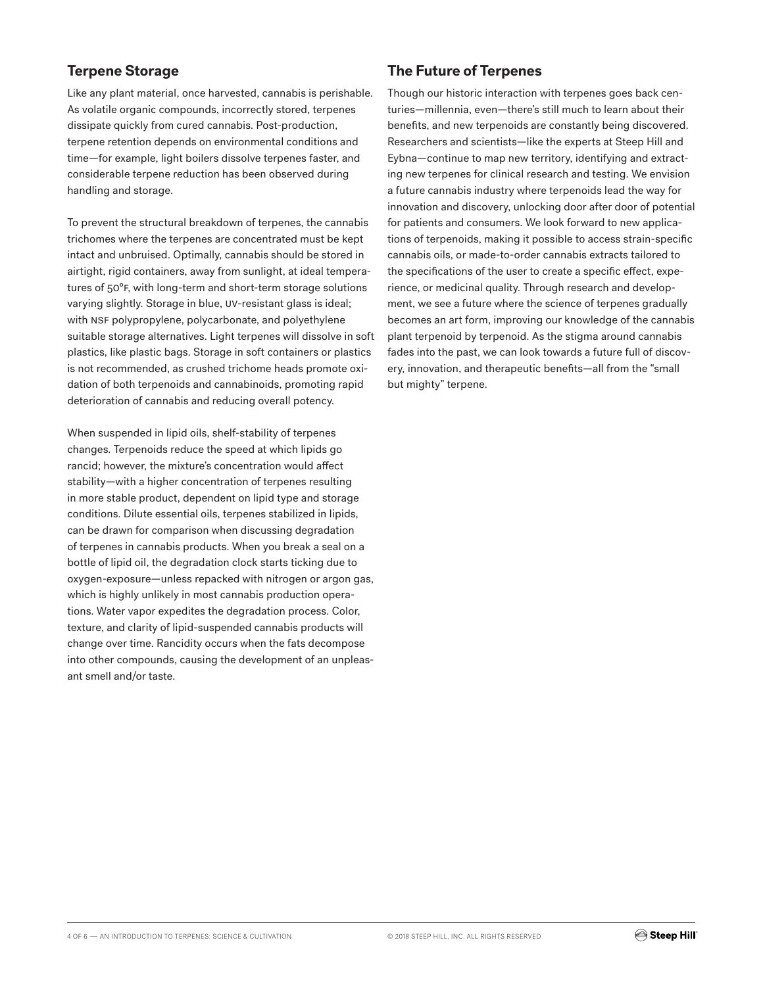# **Terpene Storage**

Like any plant material, once harvested, cannabis is perishable. As volatile organic compounds, incorrectly stored, terpenes dissipate quickly from cured cannabis. Post-production, terpene retention depends on environmental conditions and time—for example, light boilers dissolve terpenes faster, and considerable terpene reduction has been observed during handling and storage.

To prevent the structural breakdown of terpenes, the cannabis trichomes where the terpenes are concentrated must be kept intact and unbruised. Optimally, cannabis should be stored in airtight, rigid containers, away from sunlight, at ideal temperatures of 50°f, with long-term and short-term storage solutions varying slightly. Storage in blue, uv-resistant glass is ideal; with NSF polypropylene, polycarbonate, and polyethylene suitable storage alternatives. Light terpenes will dissolve in soft plastics, like plastic bags. Storage in soft containers or plastics is not recommended, as crushed trichome heads promote oxidation of both terpenoids and cannabinoids, promoting rapid deterioration of cannabis and reducing overall potency.

When suspended in lipid oils, shelf-stability of terpenes changes. Terpenoids reduce the speed at which lipids go rancid; however, the mixture's concentration would affect stability—with a higher concentration of terpenes resulting in more stable product, dependent on lipid type and storage conditions. Dilute essential oils, terpenes stabilized in lipids, can be drawn for comparison when discussing degradation of terpenes in cannabis products. When you break a seal on a bottle of lipid oil, the degradation clock starts ticking due to oxygen-exposure—unless repacked with nitrogen or argon gas, which is highly unlikely in most cannabis production operations. Water vapor expedites the degradation process. Color, texture, and clarity of lipid-suspended cannabis products will change over time. Rancidity occurs when the fats decompose into other compounds, causing the development of an unpleasant smell and/or taste.

### **The Future of Terpenes**

Though our historic interaction with terpenes goes back centuries—millennia, even—there's still much to learn about their benefits, and new terpenoids are constantly being discovered. Researchers and scientists—like the experts at Steep Hill and Eybna—continue to map new territory, identifying and extracting new terpenes for clinical research and testing. We envision a future cannabis industry where terpenoids lead the way for innovation and discovery, unlocking door after door of potential for patients and consumers. We look forward to new applications of terpenoids, making it possible to access strain-specific cannabis oils, or made-to-order cannabis extracts tailored to the specifications of the user to create a specific effect, experience, or medicinal quality. Through research and development, we see a future where the science of terpenes gradually becomes an art form, improving our knowledge of the cannabis plant terpenoid by terpenoid. As the stigma around cannabis fades into the past, we can look towards a future full of discovery, innovation, and therapeutic benefits—all from the "small but mighty" terpene.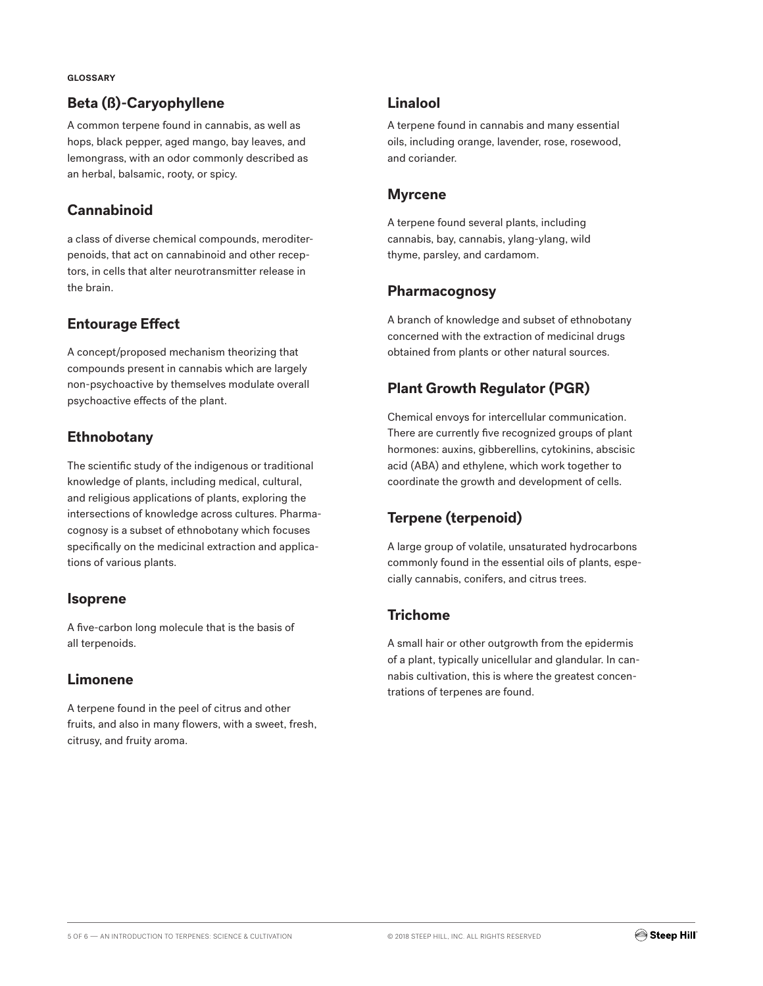#### **GLOSSARY**

#### **Beta (ß)-Caryophyllene**

A common terpene found in cannabis, as well as hops, black pepper, aged mango, bay leaves, and lemongrass, with an odor commonly described as an herbal, balsamic, rooty, or spicy.

#### **Cannabinoid**

a class of diverse chemical compounds, meroditerpenoids, that act on cannabinoid and other receptors, in cells that alter neurotransmitter release in the brain.

#### **Entourage Effect**

A concept/proposed mechanism theorizing that compounds present in cannabis which are largely non-psychoactive by themselves modulate overall psychoactive effects of the plant.

### **Ethnobotany**

The scientific study of the indigenous or traditional knowledge of plants, including medical, cultural, and religious applications of plants, exploring the intersections of knowledge across cultures. Pharmacognosy is a subset of ethnobotany which focuses specifically on the medicinal extraction and applications of various plants.

#### **Isoprene**

A five-carbon long molecule that is the basis of all terpenoids.

#### **Limonene**

A terpene found in the peel of citrus and other fruits, and also in many flowers, with a sweet, fresh, citrusy, and fruity aroma.

#### **Linalool**

A terpene found in cannabis and many essential oils, including orange, lavender, rose, rosewood, and coriander.

#### **Myrcene**

A terpene found several plants, including cannabis, bay, cannabis, ylang-ylang, wild thyme, parsley, and cardamom.

#### **Pharmacognosy**

A branch of knowledge and subset of ethnobotany concerned with the extraction of medicinal drugs obtained from plants or other natural sources.

## **Plant Growth Regulator (PGR)**

Chemical envoys for intercellular communication. There are currently five recognized groups of plant hormones: auxins, gibberellins, cytokinins, abscisic acid (ABA) and ethylene, which work together to coordinate the growth and development of cells.

## **Terpene (terpenoid)**

A large group of volatile, unsaturated hydrocarbons commonly found in the essential oils of plants, especially cannabis, conifers, and citrus trees.

#### **Trichome**

A small hair or other outgrowth from the epidermis of a plant, typically unicellular and glandular. In cannabis cultivation, this is where the greatest concentrations of terpenes are found.